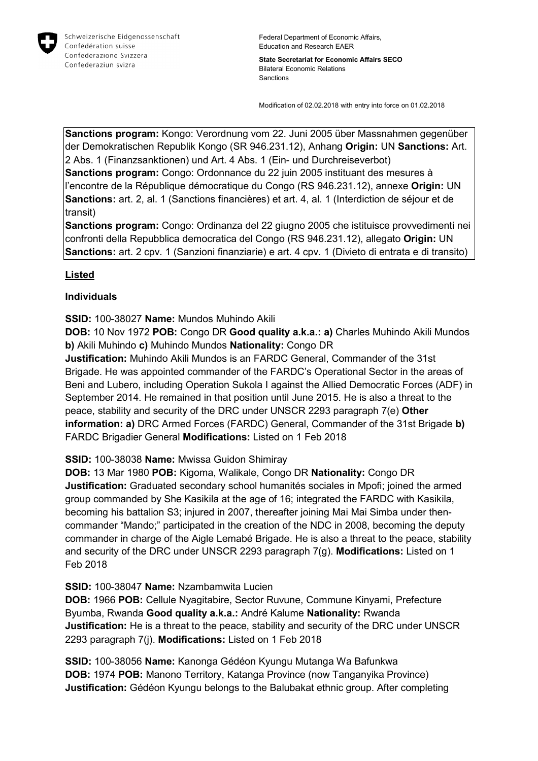

Federal Department of Economic Affairs, Education and Research EAER

**State Secretariat for Economic Affairs SECO** Bilateral Economic Relations Sanctions

Modification of 02.02.2018 with entry into force on 01.02.2018

**Sanctions program:** Kongo: Verordnung vom 22. Juni 2005 über Massnahmen gegenüber der Demokratischen Republik Kongo (SR 946.231.12), Anhang **Origin:** UN **Sanctions:** Art. 2 Abs. 1 (Finanzsanktionen) und Art. 4 Abs. 1 (Ein- und Durchreiseverbot)

**Sanctions program:** Congo: Ordonnance du 22 juin 2005 instituant des mesures à l'encontre de la République démocratique du Congo (RS 946.231.12), annexe **Origin:** UN **Sanctions:** art. 2, al. 1 (Sanctions financières) et art. 4, al. 1 (Interdiction de séjour et de transit)

**Sanctions program:** Congo: Ordinanza del 22 giugno 2005 che istituisce provvedimenti nei confronti della Repubblica democratica del Congo (RS 946.231.12), allegato **Origin:** UN **Sanctions:** art. 2 cpv. 1 (Sanzioni finanziarie) e art. 4 cpv. 1 (Divieto di entrata e di transito)

## **Listed**

## **Individuals**

## **SSID:** 100-38027 **Name:** Mundos Muhindo Akili

**DOB:** 10 Nov 1972 **POB:** Congo DR **Good quality a.k.a.: a)** Charles Muhindo Akili Mundos **b)** Akili Muhindo **c)** Muhindo Mundos **Nationality:** Congo DR

**Justification:** Muhindo Akili Mundos is an FARDC General, Commander of the 31st Brigade. He was appointed commander of the FARDC's Operational Sector in the areas of Beni and Lubero, including Operation Sukola I against the Allied Democratic Forces (ADF) in September 2014. He remained in that position until June 2015. He is also a threat to the peace, stability and security of the DRC under UNSCR 2293 paragraph 7(e) **Other information: a)** DRC Armed Forces (FARDC) General, Commander of the 31st Brigade **b)**  FARDC Brigadier General **Modifications:** Listed on 1 Feb 2018

**SSID:** 100-38038 **Name:** Mwissa Guidon Shimiray

**DOB:** 13 Mar 1980 **POB:** Kigoma, Walikale, Congo DR **Nationality:** Congo DR **Justification:** Graduated secondary school humanités sociales in Mpofi; joined the armed group commanded by She Kasikila at the age of 16; integrated the FARDC with Kasikila, becoming his battalion S3; injured in 2007, thereafter joining Mai Mai Simba under thencommander "Mando;" participated in the creation of the NDC in 2008, becoming the deputy commander in charge of the Aigle Lemabé Brigade. He is also a threat to the peace, stability and security of the DRC under UNSCR 2293 paragraph 7(g). **Modifications:** Listed on 1 Feb 2018

## **SSID:** 100-38047 **Name:** Nzambamwita Lucien

**DOB:** 1966 **POB:** Cellule Nyagitabire, Sector Ruvune, Commune Kinyami, Prefecture Byumba, Rwanda **Good quality a.k.a.:** André Kalume **Nationality:** Rwanda **Justification:** He is a threat to the peace, stability and security of the DRC under UNSCR 2293 paragraph 7(j). **Modifications:** Listed on 1 Feb 2018

**SSID:** 100-38056 **Name:** Kanonga Gédéon Kyungu Mutanga Wa Bafunkwa **DOB:** 1974 **POB:** Manono Territory, Katanga Province (now Tanganyika Province) **Justification:** Gédéon Kyungu belongs to the Balubakat ethnic group. After completing